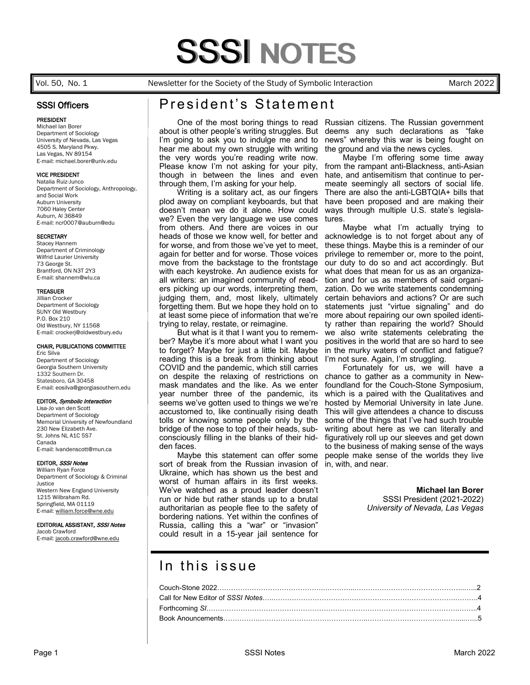#### Vol. 50, No. 1 Newsletter for the Society of the Study of Symbolic Interaction March 2022

## SSSI Officers

#### PRESIDENT

Michael Ian Borer Department of Sociology University of Nevada, Las Vegas 4505 S. Maryland Pkwy. Las Vegas, NV 89154 E-mail: michael.borer@unlv.edu

#### VICE PRESIDENT

Natalia Ruiz-Junco Department of Sociology, Anthropology, and Social Work Auburn University 7060 Haley Center Auburn, Al 36849 E-mail: ncr0007@auburn@edu

#### **SECRETARY**

Stacey Hannem Department of Criminology Wilfrid Laurier University 73 George St. Brantford, ON N3T 2Y3 E-mail: shannem@wlu.ca

#### TREASUER

Jillian Crocker Department of Sociology SUNY Old Westbury P.O. Box 210 Old Westbury, NY 11568 E-mail: crockerj@oldwestbury.edu

#### CHAIR, PUBLICATIONS COMMITTEE

Eric Silva Department of Sociology Georgia Southern University 1332 Southern Dr. Statesboro, GA 30458 E-mail: eosilva@georgiasouthern.edu

#### EDITOR, Symbolic Interaction

Lisa-Jo van den Scott Department of Sociology Memorial University of Newfoundland 230 New Elizabeth Ave. St. Johns NL A1C 5S7 Canada E-mail: lvandenscott@mun.ca

#### EDITOR, SSSI Notes

William Ryan Force Department of Sociology & Criminal Justice Western New England University 1215 Wilbraham Rd. Springfield, MA 01119 E-mail: [william.force@wne.edu](mailto:wforce@wne.edu)

#### EDITORIAL ASSISTANT, SSSI Notes

Jacob Crawford E-mail: [jacob.crawford@wne.edu](mailto:jacob.crawford@wne.edu) 

# President's Statement

about is other people's writing struggles. But I'm going to ask you to indulge me and to hear me about my own struggle with writing the very words you're reading write now. Please know I'm not asking for your pity, though in between the lines and even through them, I'm asking for your help.

 Writing is a solitary act, as our fingers plod away on compliant keyboards, but that doesn't mean we do it alone. How could we? Even the very language we use comes from others. And there are voices in our heads of those we know well, for better and for worse, and from those we've yet to meet, again for better and for worse. Those voices move from the backstage to the frontstage with each keystroke. An audience exists for all writers: an imagined community of readers picking up our words, interpreting them, judging them, and, most likely, ultimately forgetting them. But we hope they hold on to at least some piece of information that we're trying to relay, restate, or reimagine.

 But what is it that I want you to remember? Maybe it's more about what I want you to forget? Maybe for just a little bit. Maybe reading this is a break from thinking about COVID and the pandemic, which still carries on despite the relaxing of restrictions on mask mandates and the like. As we enter year number three of the pandemic, its seems we've gotten used to things we we're accustomed to, like continually rising death tolls or knowing some people only by the bridge of the nose to top of their heads, subconsciously filling in the blanks of their hidden faces.

 Maybe this statement can offer some sort of break from the Russian invasion of Ukraine, which has shown us the best and worst of human affairs in its first weeks. We've watched as a proud leader doesn't run or hide but rather stands up to a brutal authoritarian as people flee to the safety of bordering nations. Yet within the confines of Russia, calling this a "war" or "invasion" could result in a 15-year jail sentence for

 One of the most boring things to read Russian citizens. The Russian government deems any such declarations as "fake news" whereby this war is being fought on the ground and via the news cycles.

 Maybe I'm offering some time away from the rampant anti-Blackness, anti-Asian hate, and antisemitism that continue to permeate seemingly all sectors of social life. There are also the anti-LGBTQIA+ bills that have been proposed and are making their ways through multiple U.S. state's legislatures.

 Maybe what I'm actually trying to acknowledge is to not forget about any of these things. Maybe this is a reminder of our privilege to remember or, more to the point, our duty to do so and act accordingly. But what does that mean for us as an organization and for us as members of said organization. Do we write statements condemning certain behaviors and actions? Or are such statements just "virtue signaling" and do more about repairing our own spoiled identity rather than repairing the world? Should we also write statements celebrating the positives in the world that are so hard to see in the murky waters of conflict and fatigue? I'm not sure. Again, I'm struggling.

 Fortunately for us, we will have a chance to gather as a community in Newfoundland for the Couch-Stone Symposium, which is a paired with the Qualitatives and hosted by Memorial University in late June. This will give attendees a chance to discuss some of the things that I've had such trouble writing about here as we can literally and figuratively roll up our sleeves and get down to the business of making sense of the ways people make sense of the worlds they live in, with, and near.

#### **Michael Ian Borer**

SSSI President (2021-2022) *University of Nevada, Las Vegas*

# In this issue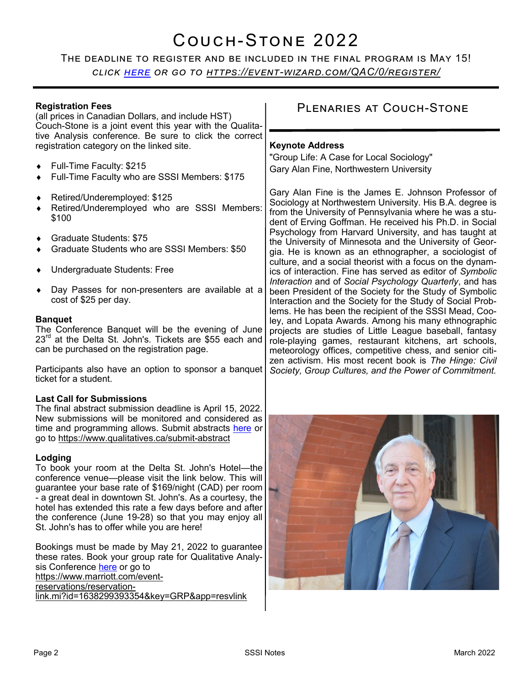# Couch-Stone 2022

The deadline to register and be included in the final program is May 15! *click [here](https://event-wizard.com/QAC/0/register/) or go to https://event-[wizard.com/QAC/0/register/](https://event-wizard.com/QAC/0/register/)*

#### **Registration Fees** (all prices in Canadian Dollars, and include HST) Couch-Stone is a joint event this year with the Qualitative Analysis conference. Be sure to click the correct registration category on the linked site. Full-Time Faculty: \$215 Full-Time Faculty who are SSSI Members: \$175 Retired/Underemployed: \$125 Retired/Underemployed who are SSSI Members: \$100 Graduate Students: \$75 Graduate Students who are SSSI Members: \$50 Undergraduate Students: Free Day Passes for non-presenters are available at a cost of \$25 per day. **Banquet** The Conference Banquet will be the evening of June  $23<sup>rd</sup>$  at the Delta St. John's. Tickets are \$55 each and can be purchased on the registration page. Plenaries at Couch-Stone **Keynote Address** "Group Life: A Case for Local Sociology" Gary Alan Fine, Northwestern University Gary Alan Fine is the James E. Johnson Professor of Sociology at Northwestern University. His B.A. degree is from the University of Pennsylvania where he was a student of Erving Goffman. He received his Ph.D. in Social Psychology from Harvard University, and has taught at the University of Minnesota and the University of Georgia. He is known as an ethnographer, a sociologist of culture, and a social theorist with a focus on the dynamics of interaction. Fine has served as editor of *Symbolic Interaction* and of *Social Psychology Quarterly*, and has been President of the Society for the Study of Symbolic Interaction and the Society for the Study of Social Problems. He has been the recipient of the SSSI Mead, Cooley, and Lopata Awards. Among his many ethnographic projects are studies of Little League baseball, fantasy role-playing games, restaurant kitchens, art schools, meteorology offices, competitive chess, and senior citi-

Participants also have an option to sponsor a banquet ticket for a student.

## **Last Call for Submissions**

The final abstract submission deadline is April 15, 2022. New submissions will be monitored and considered as time and programming allows. Submit abstracts [here](https://www.qualitatives.ca/submit-abstract) or go to [https://www.qualitatives.ca/submit](https://www.qualitatives.ca/submit-abstract)-abstract

## **Lodging**

To book your room at the Delta St. John's Hotel—the conference venue—please visit the link below. This will guarantee your base rate of \$169/night (CAD) per room - a great deal in downtown St. John's. As a courtesy, the hotel has extended this rate a few days before and after the conference (June 19-28) so that you may enjoy all St. John's has to offer while you are here!

Bookings must be made by May 21, 2022 to guarantee these rates. Book your group rate for Qualitative Analysis Conference [here](https://www.marriott.com/event-reservations/reservation-link.mi?id=1638299393354&key=GRP&app=resvlink) or go to [https://www.marriott.com/event](https://www.marriott.com/event-reservations/reservation-link.mi?id=1638299393354&key=GRP&app=resvlink)[reservations/reservation](https://www.marriott.com/event-reservations/reservation-link.mi?id=1638299393354&key=GRP&app=resvlink)[link.mi?id=1638299393354&key=GRP&app=resvlink](https://www.marriott.com/event-reservations/reservation-link.mi?id=1638299393354&key=GRP&app=resvlink)

zen activism. His most recent book is *The Hinge: Civil Society, Group Cultures, and the Power of Commitment.*

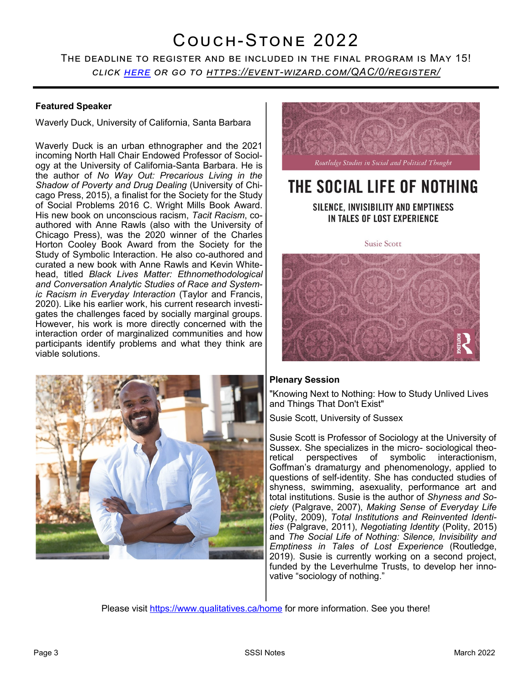# Couch-Stone 2022

The deadline to register and be included in the final program is May 15! *click [here](https://event-wizard.com/QAC/0/register/) or go to https://event-[wizard.com/QAC/0/register/](https://event-wizard.com/QAC/0/register/)*

## **Featured Speaker**

Waverly Duck, University of California, Santa Barbara

Waverly Duck is an urban ethnographer and the 2021 incoming North Hall Chair Endowed Professor of Sociology at the University of California-Santa Barbara. He is the author of *No Way Out: Precarious Living in the Shadow of Poverty and Drug Dealing* (University of Chicago Press, 2015), a finalist for the Society for the Study of Social Problems 2016 C. Wright Mills Book Award. His new book on unconscious racism, *Tacit Racism*, coauthored with Anne Rawls (also with the University of Chicago Press), was the 2020 winner of the Charles Horton Cooley Book Award from the Society for the Study of Symbolic Interaction. He also co-authored and curated a new book with Anne Rawls and Kevin Whitehead, titled *Black Lives Matter: Ethnomethodological and Conversation Analytic Studies of Race and Systemic Racism in Everyday Interaction* (Taylor and Francis, 2020). Like his earlier work, his current research investigates the challenges faced by socially marginal groups. However, his work is more directly concerned with the interaction order of marginalized communities and how participants identify problems and what they think are viable solutions.





# THE SOCIAL LIFE OF NOTHING

SILENCE, INVISIBILITY AND EMPTINESS IN TALES OF LOST EXPERIENCE

**Susie Scott** 



## **Plenary Session**

"Knowing Next to Nothing: How to Study Unlived Lives and Things That Don't Exist"

Susie Scott, University of Sussex

Susie Scott is Professor of Sociology at the University of Sussex. She specializes in the micro- sociological theoretical perspectives of symbolic interactionism, Goffman's dramaturgy and phenomenology, applied to questions of self-identity. She has conducted studies of shyness, swimming, asexuality, performance art and total institutions. Susie is the author of *Shyness and Society* (Palgrave, 2007), *Making Sense of Everyday Life*  (Polity, 2009), *Total Institutions and Reinvented Identities* (Palgrave, 2011), *Negotiating Identity* (Polity, 2015) and *The Social Life of Nothing: Silence, Invisibility and Emptiness in Tales of Lost Experience* (Routledge, 2019). Susie is currently working on a second project, funded by the Leverhulme Trusts, to develop her innovative "sociology of nothing."

Please visit<https://www.qualitatives.ca/home> for more information. See you there!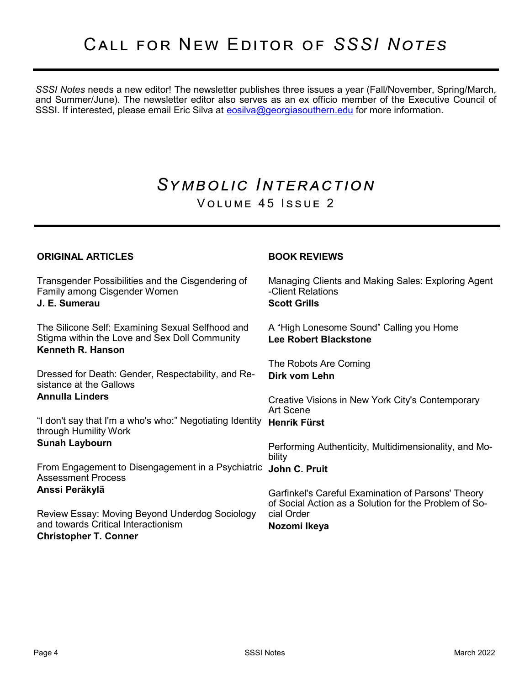*SSSI Notes* needs a new editor! The newsletter publishes three issues a year (Fall/November, Spring/March, and Summer/June). The newsletter editor also serves as an ex officio member of the Executive Council of SSSI. If interested, please email Eric Silva at [eosilva@georgiasouthern.edu](mailto:eosilva@georgiasouthern.edu) for more information.

# *Symbolic Interaction* VOLUME 45 ISSUE 2

**BOOK REVIEWS**

## **ORIGINAL ARTICLES**

Transgender Possibilities and the Cisgendering of Family among Cisgender Women **J. E. Sumerau** The Silicone Self: Examining Sexual Selfhood and Stigma within the Love and Sex Doll Community **Kenneth R. Hanson** Dressed for Death: Gender, Respectability, and Resistance at the Gallows **Annulla Linders** "I don't say that I'm a who's who:" Negotiating Identity **Henrik Fürst** through Humility Work **Sunah Laybourn** From Engagement to Disengagement in a Psychiatric **John C. Pruit** Assessment Process **Anssi Peräkylä** Review Essay: Moving Beyond Underdog Sociology and towards Critical Interactionism **Christopher T. Conner** Managing Clients and Making Sales: Exploring Agent -Client Relations **Scott Grills** A "High Lonesome Sound" Calling you Home **Lee Robert Blackstone** The Robots Are Coming **Dirk vom Lehn** Creative Visions in New York City's Contemporary Art Scene Performing Authenticity, Multidimensionality, and Mobility Garfinkel's Careful Examination of Parsons' Theory of Social Action as a Solution for the Problem of Social Order **Nozomi Ikeya**